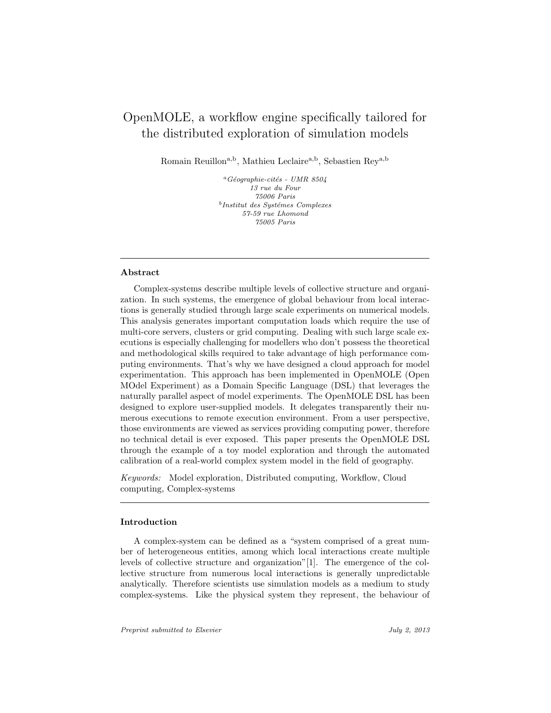# OpenMOLE, a workflow engine specifically tailored for the distributed exploration of simulation models

Romain Reuillon<sup>a,b</sup>, Mathieu Leclaire<sup>a,b</sup>, Sebastien Rey<sup>a,b</sup>

<sup>a</sup>Géographie-cités - UMR 8504 13 rue du Four 75006 Paris  $<sup>b</sup>$ Institut des Systémes Complexes</sup> 57-59 rue Lhomond 75005 Paris

## Abstract

Complex-systems describe multiple levels of collective structure and organization. In such systems, the emergence of global behaviour from local interactions is generally studied through large scale experiments on numerical models. This analysis generates important computation loads which require the use of multi-core servers, clusters or grid computing. Dealing with such large scale executions is especially challenging for modellers who don't possess the theoretical and methodological skills required to take advantage of high performance computing environments. That's why we have designed a cloud approach for model experimentation. This approach has been implemented in OpenMOLE (Open MOdel Experiment) as a Domain Specific Language (DSL) that leverages the naturally parallel aspect of model experiments. The OpenMOLE DSL has been designed to explore user-supplied models. It delegates transparently their numerous executions to remote execution environment. From a user perspective, those environments are viewed as services providing computing power, therefore no technical detail is ever exposed. This paper presents the OpenMOLE DSL through the example of a toy model exploration and through the automated calibration of a real-world complex system model in the field of geography.

Keywords: Model exploration, Distributed computing, Workflow, Cloud computing, Complex-systems

#### Introduction

A complex-system can be defined as a "system comprised of a great number of heterogeneous entities, among which local interactions create multiple levels of collective structure and organization"[1]. The emergence of the collective structure from numerous local interactions is generally unpredictable analytically. Therefore scientists use simulation models as a medium to study complex-systems. Like the physical system they represent, the behaviour of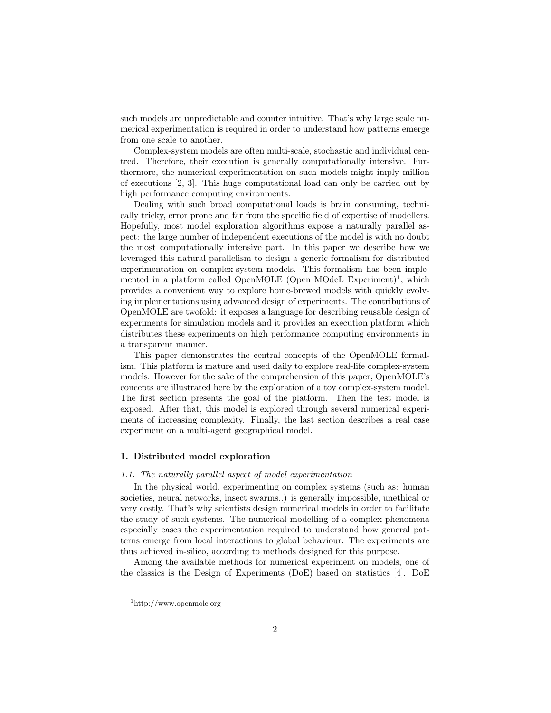such models are unpredictable and counter intuitive. That's why large scale numerical experimentation is required in order to understand how patterns emerge from one scale to another.

Complex-system models are often multi-scale, stochastic and individual centred. Therefore, their execution is generally computationally intensive. Furthermore, the numerical experimentation on such models might imply million of executions [2, 3]. This huge computational load can only be carried out by high performance computing environments.

Dealing with such broad computational loads is brain consuming, technically tricky, error prone and far from the specific field of expertise of modellers. Hopefully, most model exploration algorithms expose a naturally parallel aspect: the large number of independent executions of the model is with no doubt the most computationally intensive part. In this paper we describe how we leveraged this natural parallelism to design a generic formalism for distributed experimentation on complex-system models. This formalism has been implemented in a platform called OpenMOLE (Open MOdeL Experiment)<sup>1</sup>, which provides a convenient way to explore home-brewed models with quickly evolving implementations using advanced design of experiments. The contributions of OpenMOLE are twofold: it exposes a language for describing reusable design of experiments for simulation models and it provides an execution platform which distributes these experiments on high performance computing environments in a transparent manner.

This paper demonstrates the central concepts of the OpenMOLE formalism. This platform is mature and used daily to explore real-life complex-system models. However for the sake of the comprehension of this paper, OpenMOLE's concepts are illustrated here by the exploration of a toy complex-system model. The first section presents the goal of the platform. Then the test model is exposed. After that, this model is explored through several numerical experiments of increasing complexity. Finally, the last section describes a real case experiment on a multi-agent geographical model.

## 1. Distributed model exploration

### 1.1. The naturally parallel aspect of model experimentation

In the physical world, experimenting on complex systems (such as: human societies, neural networks, insect swarms..) is generally impossible, unethical or very costly. That's why scientists design numerical models in order to facilitate the study of such systems. The numerical modelling of a complex phenomena especially eases the experimentation required to understand how general patterns emerge from local interactions to global behaviour. The experiments are thus achieved in-silico, according to methods designed for this purpose.

Among the available methods for numerical experiment on models, one of the classics is the Design of Experiments (DoE) based on statistics [4]. DoE

<sup>1</sup>http://www.openmole.org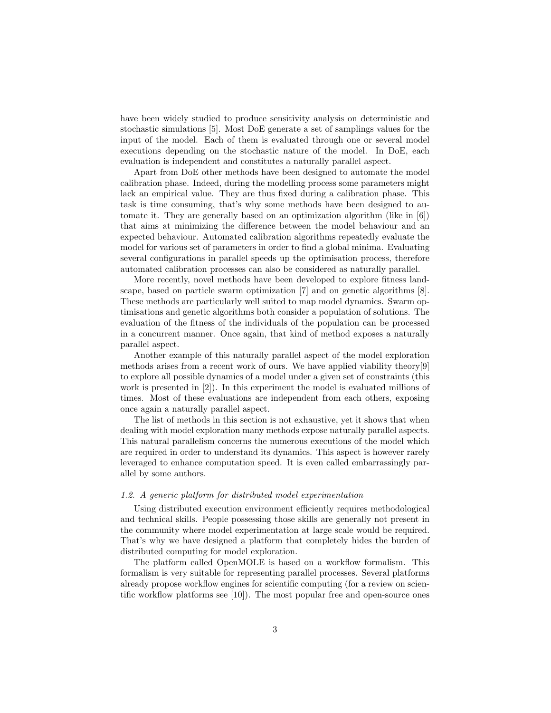have been widely studied to produce sensitivity analysis on deterministic and stochastic simulations [5]. Most DoE generate a set of samplings values for the input of the model. Each of them is evaluated through one or several model executions depending on the stochastic nature of the model. In DoE, each evaluation is independent and constitutes a naturally parallel aspect.

Apart from DoE other methods have been designed to automate the model calibration phase. Indeed, during the modelling process some parameters might lack an empirical value. They are thus fixed during a calibration phase. This task is time consuming, that's why some methods have been designed to automate it. They are generally based on an optimization algorithm (like in [6]) that aims at minimizing the difference between the model behaviour and an expected behaviour. Automated calibration algorithms repeatedly evaluate the model for various set of parameters in order to find a global minima. Evaluating several configurations in parallel speeds up the optimisation process, therefore automated calibration processes can also be considered as naturally parallel.

More recently, novel methods have been developed to explore fitness landscape, based on particle swarm optimization [7] and on genetic algorithms [8]. These methods are particularly well suited to map model dynamics. Swarm optimisations and genetic algorithms both consider a population of solutions. The evaluation of the fitness of the individuals of the population can be processed in a concurrent manner. Once again, that kind of method exposes a naturally parallel aspect.

Another example of this naturally parallel aspect of the model exploration methods arises from a recent work of ours. We have applied viability theory[9] to explore all possible dynamics of a model under a given set of constraints (this work is presented in [2]). In this experiment the model is evaluated millions of times. Most of these evaluations are independent from each others, exposing once again a naturally parallel aspect.

The list of methods in this section is not exhaustive, yet it shows that when dealing with model exploration many methods expose naturally parallel aspects. This natural parallelism concerns the numerous executions of the model which are required in order to understand its dynamics. This aspect is however rarely leveraged to enhance computation speed. It is even called embarrassingly parallel by some authors.

### 1.2. A generic platform for distributed model experimentation

Using distributed execution environment efficiently requires methodological and technical skills. People possessing those skills are generally not present in the community where model experimentation at large scale would be required. That's why we have designed a platform that completely hides the burden of distributed computing for model exploration.

The platform called OpenMOLE is based on a workflow formalism. This formalism is very suitable for representing parallel processes. Several platforms already propose workflow engines for scientific computing (for a review on scientific workflow platforms see [10]). The most popular free and open-source ones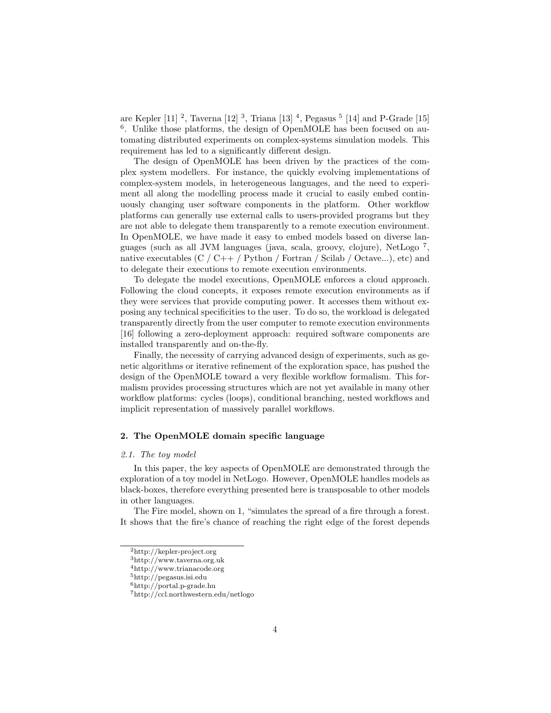are Kepler [11] <sup>2</sup>, Taverna [12] <sup>3</sup>, Triana [13] <sup>4</sup>, Pegasus <sup>5</sup> [14] and P-Grade [15] <sup>6</sup>. Unlike those platforms, the design of OpenMOLE has been focused on automating distributed experiments on complex-systems simulation models. This requirement has led to a significantly different design.

The design of OpenMOLE has been driven by the practices of the complex system modellers. For instance, the quickly evolving implementations of complex-system models, in heterogeneous languages, and the need to experiment all along the modelling process made it crucial to easily embed continuously changing user software components in the platform. Other workflow platforms can generally use external calls to users-provided programs but they are not able to delegate them transparently to a remote execution environment. In OpenMOLE, we have made it easy to embed models based on diverse languages (such as all JVM languages (java, scala, groovy, clojure), NetLogo <sup>7</sup> , native executables  $(C / C++ / \text{Python} / \text{Fortran} / \text{Scilab} / \text{Octave...})$ , etc) and to delegate their executions to remote execution environments.

To delegate the model executions, OpenMOLE enforces a cloud approach. Following the cloud concepts, it exposes remote execution environments as if they were services that provide computing power. It accesses them without exposing any technical specificities to the user. To do so, the workload is delegated transparently directly from the user computer to remote execution environments [16] following a zero-deployment approach: required software components are installed transparently and on-the-fly.

Finally, the necessity of carrying advanced design of experiments, such as genetic algorithms or iterative refinement of the exploration space, has pushed the design of the OpenMOLE toward a very flexible workflow formalism. This formalism provides processing structures which are not yet available in many other workflow platforms: cycles (loops), conditional branching, nested workflows and implicit representation of massively parallel workflows.

## 2. The OpenMOLE domain specific language

#### 2.1. The toy model

In this paper, the key aspects of OpenMOLE are demonstrated through the exploration of a toy model in NetLogo. However, OpenMOLE handles models as black-boxes, therefore everything presented here is transposable to other models in other languages.

The Fire model, shown on 1, "simulates the spread of a fire through a forest. It shows that the fire's chance of reaching the right edge of the forest depends

<sup>2</sup>http://kepler-project.org

<sup>3</sup>http://www.taverna.org.uk

<sup>4</sup>http://www.trianacode.org

<sup>5</sup>http://pegasus.isi.edu

<sup>6</sup>http://portal.p-grade.hu

<sup>7</sup>http://ccl.northwestern.edu/netlogo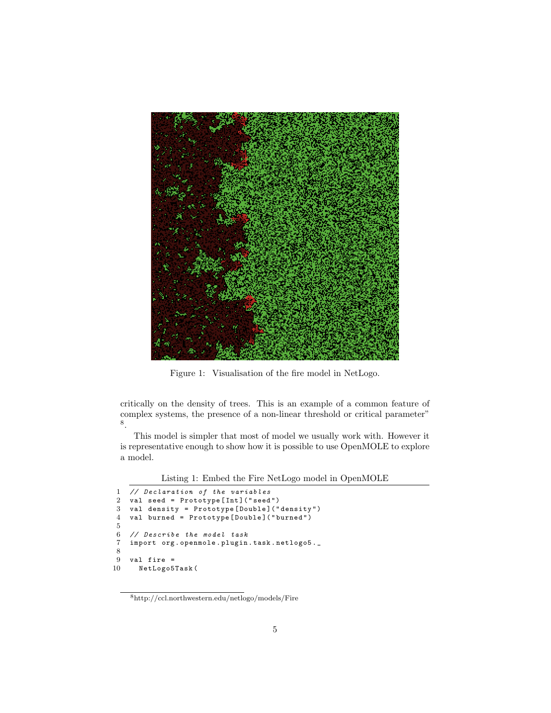

Figure 1: Visualisation of the fire model in NetLogo.

critically on the density of trees. This is an example of a common feature of complex systems, the presence of a non-linear threshold or critical parameter" 8 .

This model is simpler that most of model we usually work with. However it is representative enough to show how it is possible to use OpenMOLE to explore a model.

Listing 1: Embed the Fire NetLogo model in OpenMOLE

```
1 // Declaration of the variables<br>2 valused = Prototype [Int] ("seed
 2 val seed = Prototype [Int] ("seed")<br>3 val density = Prototype [Double] ("
     val density = Prototype [Double] ("density")
 4 val burned = Prototype [ Double ]( " burned " )
 5
 6 // Describe the model task
 7 import org . openmole . plugin . task . netlogo5 ._
 8
9 val fire =<br>10 NetLogo5
       NetLogo5Task (
```
 ${\rm ^8}$ http://ccl.northwestern.edu/netlogo/models/Fire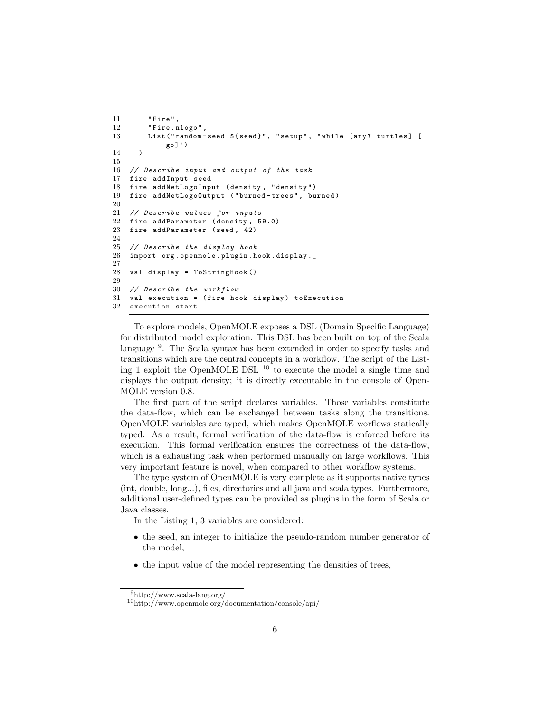```
11 " Fire " ,
12 "Fire.nlogo",
13 List ("random-seed ${seed}", "setup", "while [any? turtles] [
             go ]")
14 )
15
16 // Describe input and output of the task
17 fire addInput seed
18 fire addNetLogoInput ( density , " density " )
19 fire addNetLogoOutput ( " burned - trees " , burned )
\frac{20}{21}21 // Describe values for inputs<br>22 fire addParameter (density, 5
   fire addParameter (density, 59.0)
23 fire addParameter ( seed , 42)
24
25 // Describe the display hook
26 import org . openmole . plugin . hook . display ._
27
28 val display = ToStringHook ()
29
30 // Describe the workflow
31 val execution = (fire hook display) toExecution
32 execution start
```
To explore models, OpenMOLE exposes a DSL (Domain Specific Language) for distributed model exploration. This DSL has been built on top of the Scala language<sup>9</sup>. The Scala syntax has been extended in order to specify tasks and transitions which are the central concepts in a workflow. The script of the Listing 1 exploit the OpenMOLE DSL <sup>10</sup> to execute the model a single time and displays the output density; it is directly executable in the console of Open-MOLE version 0.8.

The first part of the script declares variables. Those variables constitute the data-flow, which can be exchanged between tasks along the transitions. OpenMOLE variables are typed, which makes OpenMOLE worflows statically typed. As a result, formal verification of the data-flow is enforced before its execution. This formal verification ensures the correctness of the data-flow, which is a exhausting task when performed manually on large workflows. This very important feature is novel, when compared to other workflow systems.

The type system of OpenMOLE is very complete as it supports native types (int, double, long...), files, directories and all java and scala types. Furthermore, additional user-defined types can be provided as plugins in the form of Scala or Java classes.

In the Listing 1, 3 variables are considered:

- the seed, an integer to initialize the pseudo-random number generator of the model,
- the input value of the model representing the densities of trees,

<sup>9</sup>http://www.scala-lang.org/

<sup>10</sup>http://www.openmole.org/documentation/console/api/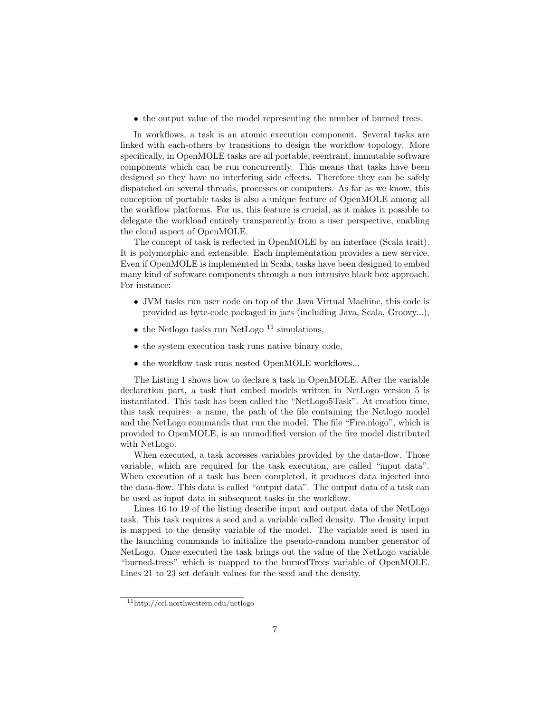• the output value of the model representing the number of burned trees.

In workflows, a task is an atomic execution component. Several tasks are linked with each-others by transitions to design the workflow topology. More specifically, in OpenMOLE tasks are all portable, reentrant, immutable software components which can be run concurrently. This means that tasks have been designed so they have no interfering side effects. Therefore they can be safely dispatched on several threads, processes or computers. As far as we know, this conception of portable tasks is also a unique feature of OpenMOLE among all the workflow platforms. For us, this feature is crucial, as it makes it possible to delegate the workload entirely transparently from a user perspective, enabling the cloud aspect of OpenMOLE.

The concept of task is reflected in OpenMOLE by an interface (Scala trait). It is polymorphic and extensible. Each implementation provides a new service. Even if OpenMOLE is implemented in Scala, tasks have been designed to embed many kind of software components through a non intrusive black box approach. For instance:

- JVM tasks run user code on top of the Java Virtual Machine, this code is provided as byte-code packaged in jars (including Java, Scala, Groovy...),
- the Netlogo tasks run NetLogo  $11$  simulations,
- the system execution task runs native binary code,
- the workflow task runs nested OpenMOLE workflows...

The Listing 1 shows how to declare a task in OpenMOLE. After the variable declaration part, a task that embed models written in NetLogo version 5 is instantiated. This task has been called the "NetLogo5Task". At creation time, this task requires: a name, the path of the file containing the Netlogo model and the NetLogo commands that run the model. The file "Fire.nlogo", which is provided to OpenMOLE, is an unmodified version of the fire model distributed with NetLogo.

When executed, a task accesses variables provided by the data-flow. Those variable, which are required for the task execution, are called "input data". When execution of a task has been completed, it produces data injected into the data-flow. This data is called "output data". The output data of a task can be used as input data in subsequent tasks in the workflow.

Lines 16 to 19 of the listing describe input and output data of the NetLogo task. This task requires a seed and a variable called density. The density input is mapped to the density variable of the model. The variable seed is used in the launching commands to initialize the pseudo-random number generator of NetLogo. Once executed the task brings out the value of the NetLogo variable "burned-trees" which is mapped to the burnedTrees variable of OpenMOLE. Lines 21 to 23 set default values for the seed and the density.

<sup>11</sup>http://ccl.northwestern.edu/netlogo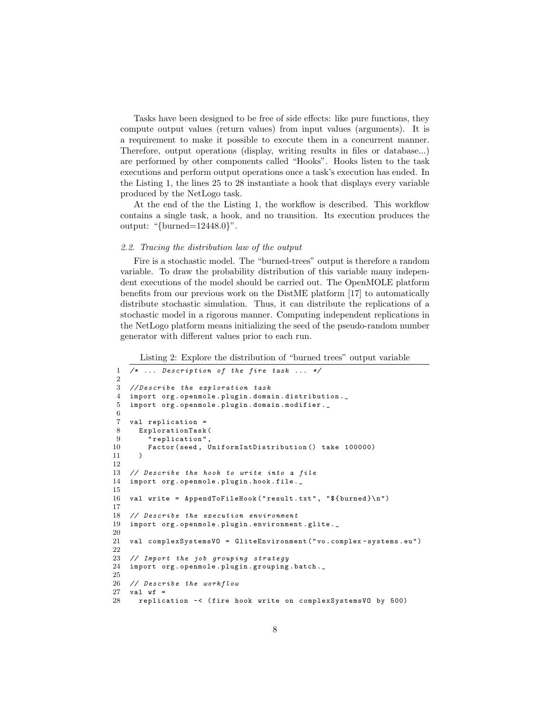Tasks have been designed to be free of side effects: like pure functions, they compute output values (return values) from input values (arguments). It is a requirement to make it possible to execute them in a concurrent manner. Therefore, output operations (display, writing results in files or database...) are performed by other components called "Hooks". Hooks listen to the task executions and perform output operations once a task's execution has ended. In the Listing 1, the lines 25 to 28 instantiate a hook that displays every variable produced by the NetLogo task.

At the end of the the Listing 1, the workflow is described. This workflow contains a single task, a hook, and no transition. Its execution produces the output: " $\{\text{burned} = 12448.0\}$ ".

## 2.2. Tracing the distribution law of the output

Fire is a stochastic model. The "burned-trees" output is therefore a random variable. To draw the probability distribution of this variable many independent executions of the model should be carried out. The OpenMOLE platform benefits from our previous work on the DistME platform [17] to automatically distribute stochastic simulation. Thus, it can distribute the replications of a stochastic model in a rigorous manner. Computing independent replications in the NetLogo platform means initializing the seed of the pseudo-random number generator with different values prior to each run.

Listing 2: Explore the distribution of "burned trees" output variable

```
1 /* ... Description of the fire task ... */
 \mathcal{D}3 // Describe the exploration task
 4 import org . openmole . plugin . domain . distribution ._
 5 import org . openmole . plugin . domain . modifier . _
 6
 7 val replication =
 8 ExplorationTask (
9 " replication",<br>10 Factor (seed, U
         Factor (seed, UniformIntDistribution () take 100000)
11 )
12
13 // Describe the hook to write into a file
14 import org . openmole . plugin . hook . file ._
15
16 val write = AppendToFileHook ("result.txt", "${burned}\n")
17
18 // Describe the execution environment
19 import org . openmole . plugin . environment . glite ._
20
21 val complexSystemsVO = GliteEnvironment (" vo . complex - systems . eu ")
22
23 // Import the job grouping strategy
24 import org . openmole . plugin . grouping . batch ._
25
26 // Describe the workflow
\begin{array}{cc} 27 & \text{val} & \text{wf} = \\ 28 & \text{replic} \end{array}28 replication -< ( fire hook write on complexSystemsVO by 500)
```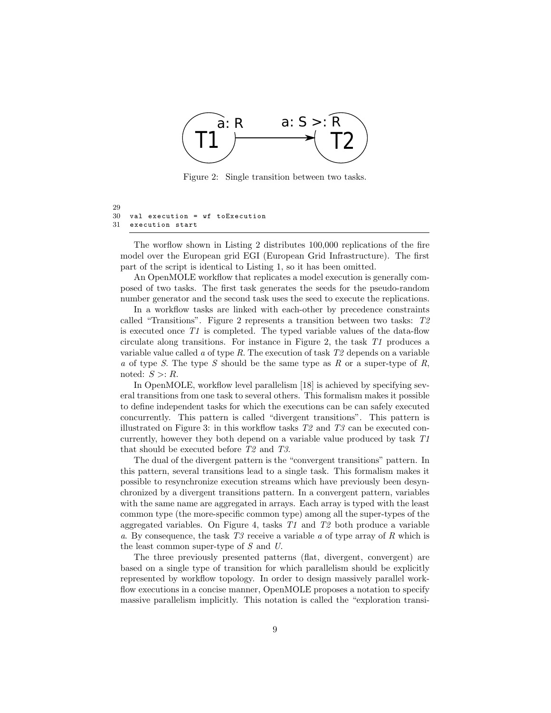

Figure 2: Single transition between two tasks.

```
29
30 val execution = wf toExecution
31 execution start
```
The worflow shown in Listing 2 distributes 100,000 replications of the fire model over the European grid EGI (European Grid Infrastructure). The first part of the script is identical to Listing 1, so it has been omitted.

An OpenMOLE workflow that replicates a model execution is generally composed of two tasks. The first task generates the seeds for the pseudo-random number generator and the second task uses the seed to execute the replications.

In a workflow tasks are linked with each-other by precedence constraints called "Transitions". Figure 2 represents a transition between two tasks: T2 is executed once T1 is completed. The typed variable values of the data-flow circulate along transitions. For instance in Figure 2, the task  $T1$  produces a variable value called a of type R. The execution of task  $T2$  depends on a variable a of type S. The type S should be the same type as R or a super-type of R, noted:  $S > R$ .

In OpenMOLE, workflow level parallelism [18] is achieved by specifying several transitions from one task to several others. This formalism makes it possible to define independent tasks for which the executions can be can safely executed concurrently. This pattern is called "divergent transitions". This pattern is illustrated on Figure 3: in this workflow tasks  $T2$  and  $T3$  can be executed concurrently, however they both depend on a variable value produced by task T1 that should be executed before T2 and T3.

The dual of the divergent pattern is the "convergent transitions" pattern. In this pattern, several transitions lead to a single task. This formalism makes it possible to resynchronize execution streams which have previously been desynchronized by a divergent transitions pattern. In a convergent pattern, variables with the same name are aggregated in arrays. Each array is typed with the least common type (the more-specific common type) among all the super-types of the aggregated variables. On Figure 4, tasks T1 and T2 both produce a variable a. By consequence, the task  $T3$  receive a variable a of type array of R which is the least common super-type of S and U.

The three previously presented patterns (flat, divergent, convergent) are based on a single type of transition for which parallelism should be explicitly represented by workflow topology. In order to design massively parallel workflow executions in a concise manner, OpenMOLE proposes a notation to specify massive parallelism implicitly. This notation is called the "exploration transi-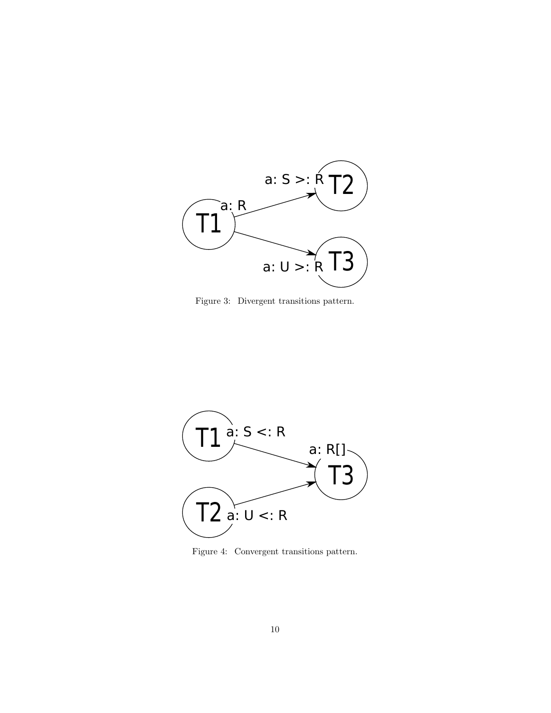

Figure 3: Divergent transitions pattern.



Figure 4: Convergent transitions pattern.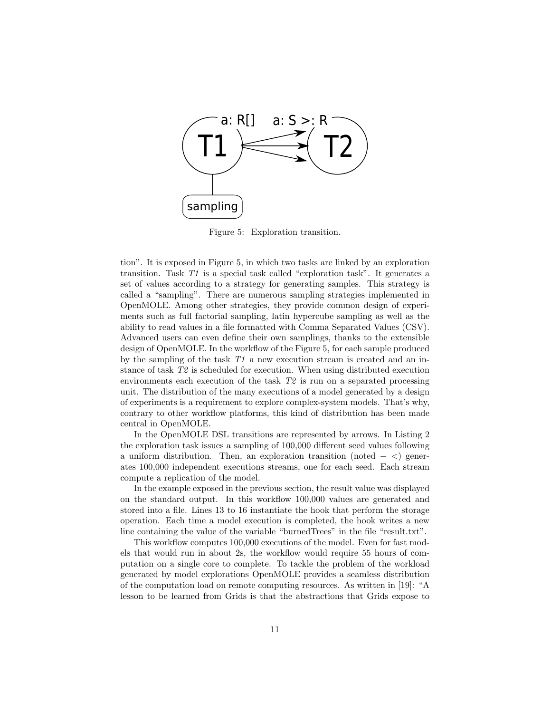

Figure 5: Exploration transition.

tion". It is exposed in Figure 5, in which two tasks are linked by an exploration transition. Task T1 is a special task called "exploration task". It generates a set of values according to a strategy for generating samples. This strategy is called a "sampling". There are numerous sampling strategies implemented in OpenMOLE. Among other strategies, they provide common design of experiments such as full factorial sampling, latin hypercube sampling as well as the ability to read values in a file formatted with Comma Separated Values (CSV). Advanced users can even define their own samplings, thanks to the extensible design of OpenMOLE. In the workflow of the Figure 5, for each sample produced by the sampling of the task  $T1$  a new execution stream is created and an instance of task T2 is scheduled for execution. When using distributed execution environments each execution of the task  $T2$  is run on a separated processing unit. The distribution of the many executions of a model generated by a design of experiments is a requirement to explore complex-system models. That's why, contrary to other workflow platforms, this kind of distribution has been made central in OpenMOLE.

In the OpenMOLE DSL transitions are represented by arrows. In Listing 2 the exploration task issues a sampling of 100,000 different seed values following a uniform distribution. Then, an exploration transition (noted  $-$  <) generates 100,000 independent executions streams, one for each seed. Each stream compute a replication of the model.

In the example exposed in the previous section, the result value was displayed on the standard output. In this workflow 100,000 values are generated and stored into a file. Lines 13 to 16 instantiate the hook that perform the storage operation. Each time a model execution is completed, the hook writes a new line containing the value of the variable "burnedTrees" in the file "result.txt".

This workflow computes 100,000 executions of the model. Even for fast models that would run in about 2s, the workflow would require 55 hours of computation on a single core to complete. To tackle the problem of the workload generated by model explorations OpenMOLE provides a seamless distribution of the computation load on remote computing resources. As written in [19]: "A lesson to be learned from Grids is that the abstractions that Grids expose to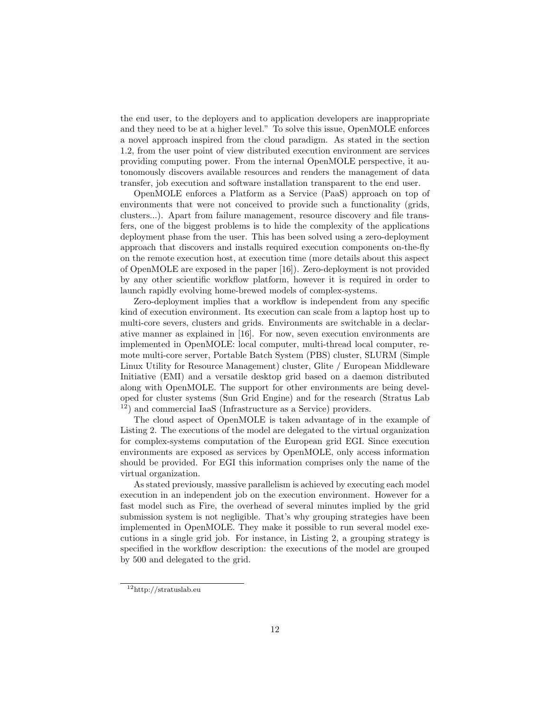the end user, to the deployers and to application developers are inappropriate and they need to be at a higher level." To solve this issue, OpenMOLE enforces a novel approach inspired from the cloud paradigm. As stated in the section 1.2, from the user point of view distributed execution environment are services providing computing power. From the internal OpenMOLE perspective, it autonomously discovers available resources and renders the management of data transfer, job execution and software installation transparent to the end user.

OpenMOLE enforces a Platform as a Service (PaaS) approach on top of environments that were not conceived to provide such a functionality (grids, clusters...). Apart from failure management, resource discovery and file transfers, one of the biggest problems is to hide the complexity of the applications deployment phase from the user. This has been solved using a zero-deployment approach that discovers and installs required execution components on-the-fly on the remote execution host, at execution time (more details about this aspect of OpenMOLE are exposed in the paper [16]). Zero-deployment is not provided by any other scientific workflow platform, however it is required in order to launch rapidly evolving home-brewed models of complex-systems.

Zero-deployment implies that a workflow is independent from any specific kind of execution environment. Its execution can scale from a laptop host up to multi-core severs, clusters and grids. Environments are switchable in a declarative manner as explained in [16]. For now, seven execution environments are implemented in OpenMOLE: local computer, multi-thread local computer, remote multi-core server, Portable Batch System (PBS) cluster, SLURM (Simple Linux Utility for Resource Management) cluster, Glite / European Middleware Initiative (EMI) and a versatile desktop grid based on a daemon distributed along with OpenMOLE. The support for other environments are being developed for cluster systems (Sun Grid Engine) and for the research (Stratus Lab <sup>12</sup>) and commercial IaaS (Infrastructure as a Service) providers.

The cloud aspect of OpenMOLE is taken advantage of in the example of Listing 2. The executions of the model are delegated to the virtual organization for complex-systems computation of the European grid EGI. Since execution environments are exposed as services by OpenMOLE, only access information should be provided. For EGI this information comprises only the name of the virtual organization.

As stated previously, massive parallelism is achieved by executing each model execution in an independent job on the execution environment. However for a fast model such as Fire, the overhead of several minutes implied by the grid submission system is not negligible. That's why grouping strategies have been implemented in OpenMOLE. They make it possible to run several model executions in a single grid job. For instance, in Listing 2, a grouping strategy is specified in the workflow description: the executions of the model are grouped by 500 and delegated to the grid.

<sup>12</sup>http://stratuslab.eu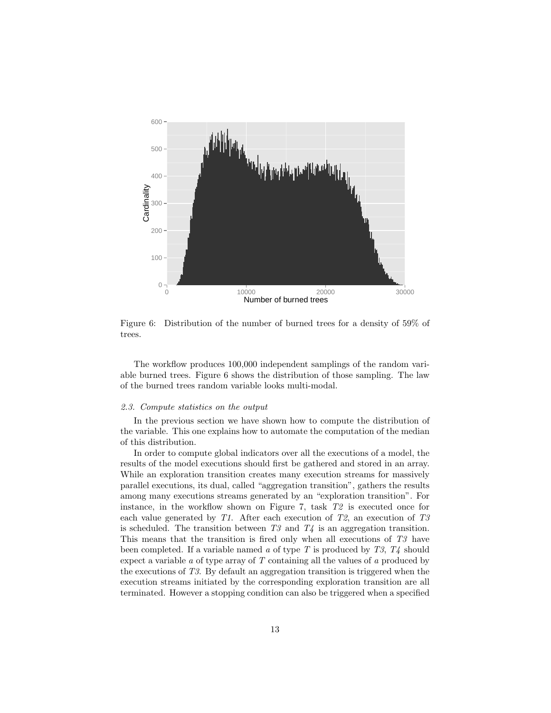

Figure 6: Distribution of the number of burned trees for a density of 59% of trees.

The workflow produces 100,000 independent samplings of the random variable burned trees. Figure 6 shows the distribution of those sampling. The law of the burned trees random variable looks multi-modal.

#### 2.3. Compute statistics on the output

In the previous section we have shown how to compute the distribution of the variable. This one explains how to automate the computation of the median of this distribution.

In order to compute global indicators over all the executions of a model, the results of the model executions should first be gathered and stored in an array. While an exploration transition creates many execution streams for massively parallel executions, its dual, called "aggregation transition", gathers the results among many executions streams generated by an "exploration transition". For instance, in the workflow shown on Figure 7, task T2 is executed once for each value generated by T1. After each execution of T2, an execution of T3 is scheduled. The transition between  $T3$  and  $T4$  is an aggregation transition. This means that the transition is fired only when all executions of T3 have been completed. If a variable named a of type T is produced by  $T3$ ,  $T4$  should expect a variable  $a$  of type array of  $T$  containing all the values of  $a$  produced by the executions of T3. By default an aggregation transition is triggered when the execution streams initiated by the corresponding exploration transition are all terminated. However a stopping condition can also be triggered when a specified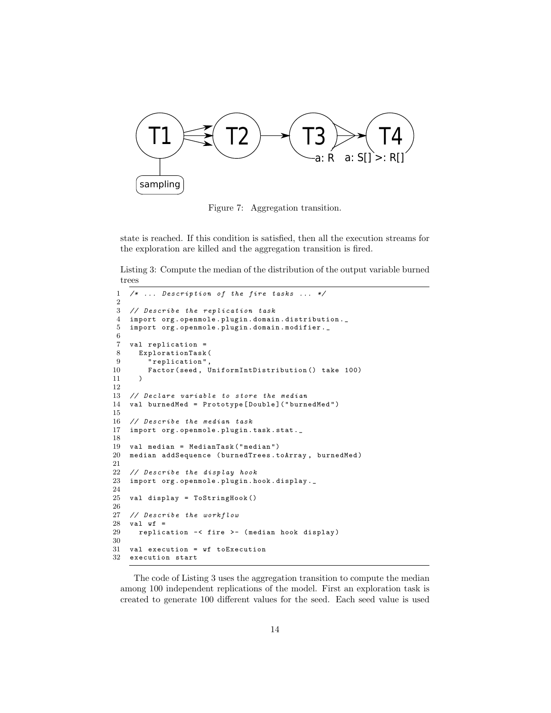

Figure 7: Aggregation transition.

state is reached. If this condition is satisfied, then all the execution streams for the exploration are killed and the aggregation transition is fired.

Listing 3: Compute the median of the distribution of the output variable burned trees

```
1 /* ... Description of the fire tasks ... */
\frac{2}{3}3 // Describe the replication task
    import org. openmole. plugin.domain.distribution.
5 import org . openmole . plugin . domain . modifier . _
6
7 val replication =
8 ExplorationTask (<br>9 Treplication",
         .<br>"replication",
10 Factor ( seed , UniformIntDistribution () take 100)
11 )
12
13 // Declare variable to store the median
14 val burnedMed = Prototype [ Double ]( " burnedMed ")
\frac{15}{16}16 // Describe the median task<br>17 import org.openmole.plugin.
    import org. openmole. plugin. task. stat._
18
19 val median = MedianTask ( " median ")
20 median addSequence ( burnedTrees . toArray , burnedMed )
21
22 // Describe the display hook
23 import org . openmole . plugin . hook . display ._
24
25 val display = ToStringHook ()
26
27 // Describe the workflow<br>28 val wf =
    val wf =
29 replication -< fire >- ( median hook display )
30
31 val execution = wf toExecution
32 execution start
```
The code of Listing 3 uses the aggregation transition to compute the median among 100 independent replications of the model. First an exploration task is created to generate 100 different values for the seed. Each seed value is used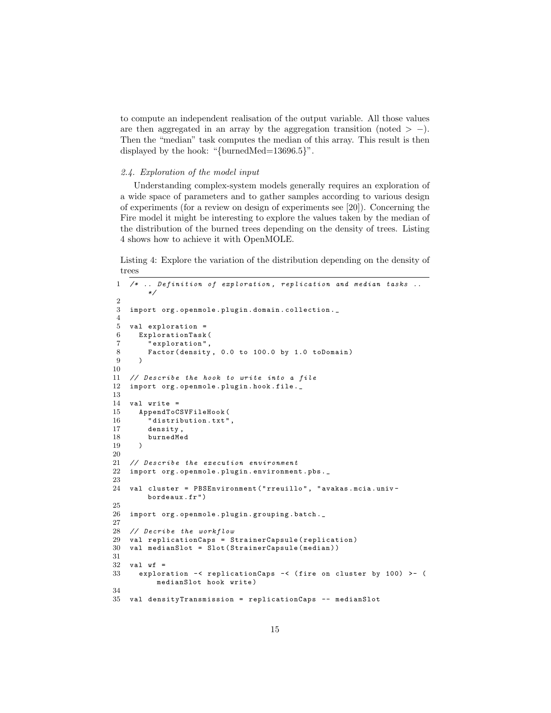to compute an independent realisation of the output variable. All those values are then aggregated in an array by the aggregation transition (noted  $> -$ ). Then the "median" task computes the median of this array. This result is then displayed by the hook: "{burnedMed=13696.5}".

## 2.4. Exploration of the model input

Understanding complex-system models generally requires an exploration of a wide space of parameters and to gather samples according to various design of experiments (for a review on design of experiments see [20]). Concerning the Fire model it might be interesting to explore the values taken by the median of the distribution of the burned trees depending on the density of trees. Listing 4 shows how to achieve it with OpenMOLE.

Listing 4: Explore the variation of the distribution depending on the density of trees

```
1 /* .. Definition of exploration , replication and median tasks ..
         */
 \Omega3 import org . openmole . plugin . domain . collection ._
 4
 5 val exploration =
 6 ExplorationTask (
 7 " exploration",<br>8 Factor (density
        Factor (density, 0.0 to 100.0 by 1.0 toDomain)
 9 )
10
11 // Describe the hook to write into a file
12 import org . openmole . plugin . hook . file ._
13
14 val write =
15 AppendToCSVFileHook (<br>16 distribution.txt"
         " distribution . txt",
17 density,<br>18 burnedMe
         18 burnedMed
19 )
20
21 // Describe the execution environment
22 import org . openmole . plugin . environment . pbs . _
23
24 val cluster = PBSEnvironment ( " rreuillo " , " avakas . mcia . univ -
        bordeaux . fr ")
\frac{25}{26}import org. openmole.plugin.grouping.batch.
27
28 // Decribe the workflow
29 val replicationCaps = StrainerCapsule ( replication )
30 val medianSlot = Slot ( StrainerCapsule ( median ))
31
32 val wf =<br>33 explor
      33 exploration -< replicationCaps -< ( fire on cluster by 100) >- (
           medianSlot hook write )
34
35 val densityTransmission = replicationCaps -- medianSlot
```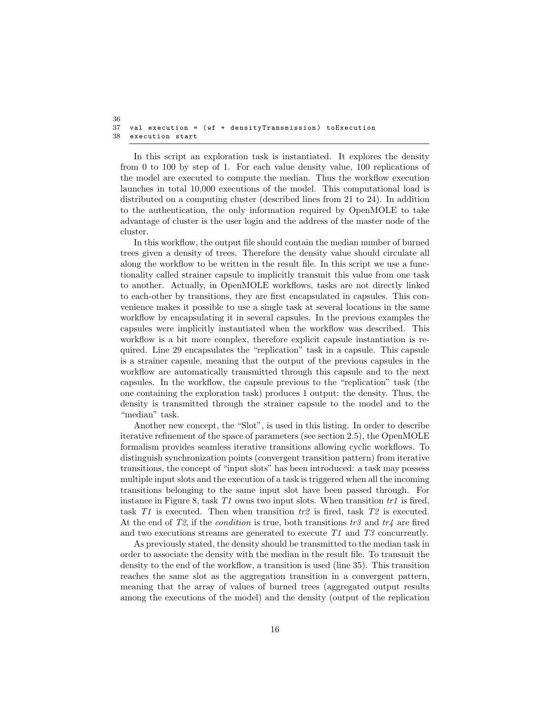```
36
   val execution = (wf + densityTransmission) toExecution
38 execution start
```
In this script an exploration task is instantiated. It explores the density from 0 to 100 by step of 1. For each value density value, 100 replications of the model are executed to compute the median. Thus the workflow execution launches in total 10,000 executions of the model. This computational load is distributed on a computing cluster (described lines from 21 to 24). In addition to the authentication, the only information required by OpenMOLE to take advantage of cluster is the user login and the address of the master node of the cluster.

In this workflow, the output file should contain the median number of burned trees given a density of trees. Therefore the density value should circulate all along the workflow to be written in the result file. In this script we use a functionality called strainer capsule to implicitly transmit this value from one task to another. Actually, in OpenMOLE workflows, tasks are not directly linked to each-other by transitions, they are first encapsulated in capsules. This convenience makes it possible to use a single task at several locations in the same workflow by encapsulating it in several capsules. In the previous examples the capsules were implicitly instantiated when the workflow was described. This workflow is a bit more complex, therefore explicit capsule instantiation is required. Line 29 encapsulates the "replication" task in a capsule. This capsule is a strainer capsule, meaning that the output of the previous capsules in the workflow are automatically transmitted through this capsule and to the next capsules. In the workflow, the capsule previous to the "replication" task (the one containing the exploration task) produces 1 output: the density. Thus, the density is transmitted through the strainer capsule to the model and to the "median" task.

Another new concept, the "Slot", is used in this listing. In order to describe iterative refinement of the space of parameters (see section 2.5), the OpenMOLE formalism provides seamless iterative transitions allowing cyclic workflows. To distinguish synchronization points (convergent transition pattern) from iterative transitions, the concept of "input slots" has been introduced: a task may possess multiple input slots and the execution of a task is triggered when all the incoming transitions belonging to the same input slot have been passed through. For instance in Figure 8, task  $T1$  owns two input slots. When transition  $tr1$  is fired, task  $T1$  is executed. Then when transition  $tr2$  is fired, task  $T2$  is executed. At the end of T2, if the *condition* is true, both transitions  $tr3$  and  $tr4$  are fired and two executions streams are generated to execute T1 and T3 concurrently.

As previously stated, the density should be transmitted to the median task in order to associate the density with the median in the result file. To transmit the density to the end of the workflow, a transition is used (line 35). This transition reaches the same slot as the aggregation transition in a convergent pattern, meaning that the array of values of burned trees (aggregated output results among the executions of the model) and the density (output of the replication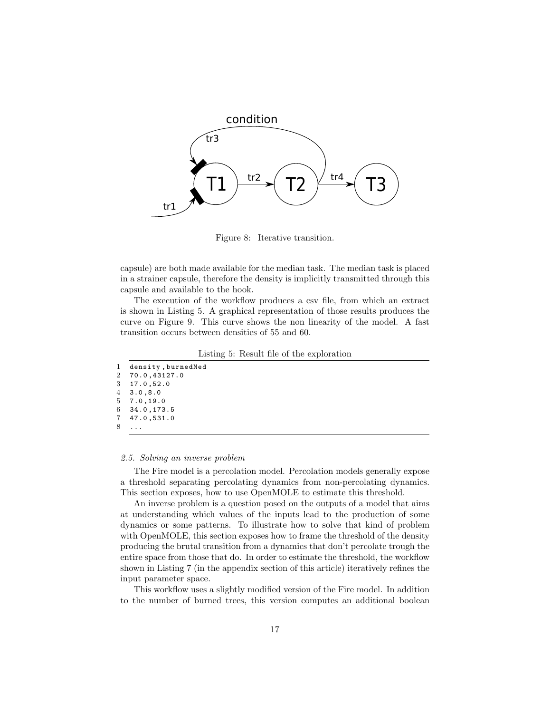

Figure 8: Iterative transition.

capsule) are both made available for the median task. The median task is placed in a strainer capsule, therefore the density is implicitly transmitted through this capsule and available to the hook.

The execution of the workflow produces a csv file, from which an extract is shown in Listing 5. A graphical representation of those results produces the curve on Figure 9. This curve shows the non linearity of the model. A fast transition occurs between densities of 55 and 60.

Listing 5: Result file of the exploration

|    | 1 density, burnedMed |
|----|----------------------|
|    | 2 70.0,43127.0       |
|    | 3, 17.0, 52.0        |
|    | 4, 3.0, 8.0          |
|    | 5, 7.0, 19.0         |
|    | 6, 34.0, 173.5       |
|    | 7, 47.0, 531.0       |
| 8. | $\cdots$             |
|    |                      |

#### 2.5. Solving an inverse problem

The Fire model is a percolation model. Percolation models generally expose a threshold separating percolating dynamics from non-percolating dynamics. This section exposes, how to use OpenMOLE to estimate this threshold.

An inverse problem is a question posed on the outputs of a model that aims at understanding which values of the inputs lead to the production of some dynamics or some patterns. To illustrate how to solve that kind of problem with OpenMOLE, this section exposes how to frame the threshold of the density producing the brutal transition from a dynamics that don't percolate trough the entire space from those that do. In order to estimate the threshold, the workflow shown in Listing 7 (in the appendix section of this article) iteratively refines the input parameter space.

This workflow uses a slightly modified version of the Fire model. In addition to the number of burned trees, this version computes an additional boolean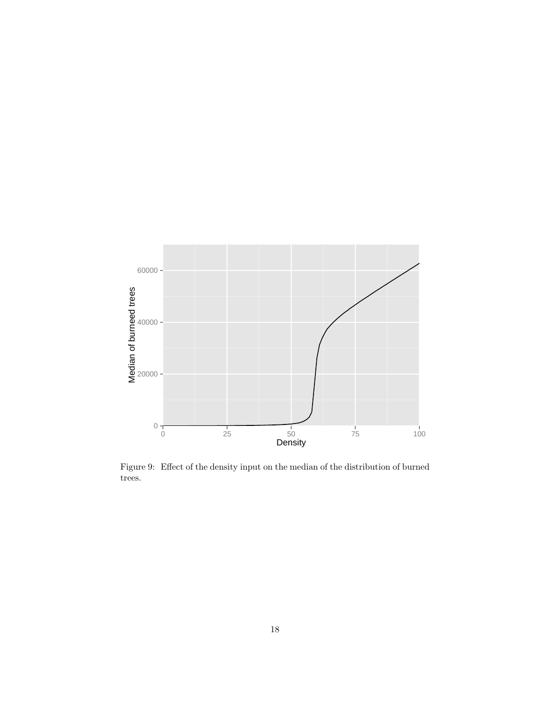

Figure 9: Effect of the density input on the median of the distribution of burned trees.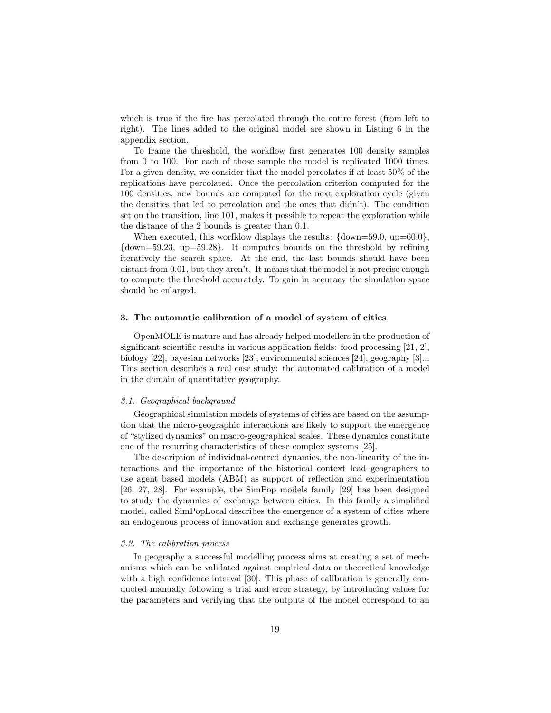which is true if the fire has percolated through the entire forest (from left to right). The lines added to the original model are shown in Listing 6 in the appendix section.

To frame the threshold, the workflow first generates 100 density samples from 0 to 100. For each of those sample the model is replicated 1000 times. For a given density, we consider that the model percolates if at least 50% of the replications have percolated. Once the percolation criterion computed for the 100 densities, new bounds are computed for the next exploration cycle (given the densities that led to percolation and the ones that didn't). The condition set on the transition, line 101, makes it possible to repeat the exploration while the distance of the 2 bounds is greater than 0.1.

When executed, this worfklow displays the results:  $\{\text{down}=59.0, \text{ up}=60.0\}$ , {down=59.23, up=59.28}. It computes bounds on the threshold by refining iteratively the search space. At the end, the last bounds should have been distant from 0.01, but they aren't. It means that the model is not precise enough to compute the threshold accurately. To gain in accuracy the simulation space should be enlarged.

#### 3. The automatic calibration of a model of system of cities

OpenMOLE is mature and has already helped modellers in the production of significant scientific results in various application fields: food processing [21, 2], biology [22], bayesian networks [23], environmental sciences [24], geography [3]... This section describes a real case study: the automated calibration of a model in the domain of quantitative geography.

#### 3.1. Geographical background

Geographical simulation models of systems of cities are based on the assumption that the micro-geographic interactions are likely to support the emergence of "stylized dynamics" on macro-geographical scales. These dynamics constitute one of the recurring characteristics of these complex systems [25].

The description of individual-centred dynamics, the non-linearity of the interactions and the importance of the historical context lead geographers to use agent based models (ABM) as support of reflection and experimentation [26, 27, 28]. For example, the SimPop models family [29] has been designed to study the dynamics of exchange between cities. In this family a simplified model, called SimPopLocal describes the emergence of a system of cities where an endogenous process of innovation and exchange generates growth.

#### 3.2. The calibration process

In geography a successful modelling process aims at creating a set of mechanisms which can be validated against empirical data or theoretical knowledge with a high confidence interval [30]. This phase of calibration is generally conducted manually following a trial and error strategy, by introducing values for the parameters and verifying that the outputs of the model correspond to an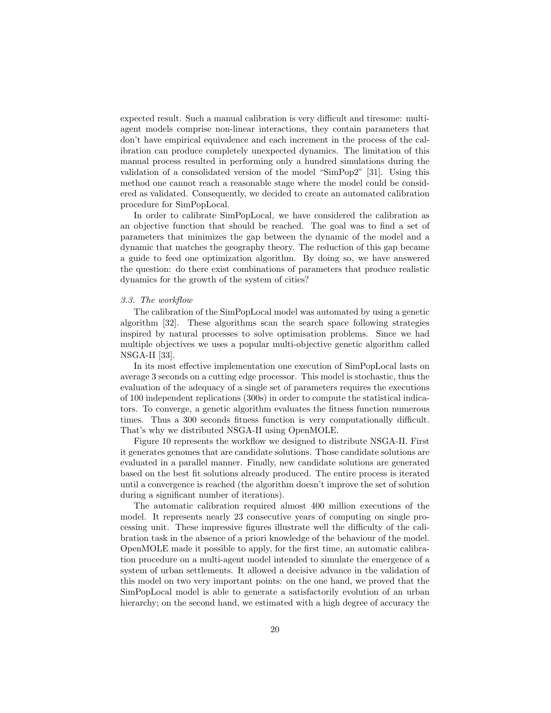expected result. Such a manual calibration is very difficult and tiresome: multiagent models comprise non-linear interactions, they contain parameters that don't have empirical equivalence and each increment in the process of the calibration can produce completely unexpected dynamics. The limitation of this manual process resulted in performing only a hundred simulations during the validation of a consolidated version of the model "SimPop2" [31]. Using this method one cannot reach a reasonable stage where the model could be considered as validated. Consequently, we decided to create an automated calibration procedure for SimPopLocal.

In order to calibrate SimPopLocal, we have considered the calibration as an objective function that should be reached. The goal was to find a set of parameters that minimizes the gap between the dynamic of the model and a dynamic that matches the geography theory. The reduction of this gap became a guide to feed one optimization algorithm. By doing so, we have answered the question: do there exist combinations of parameters that produce realistic dynamics for the growth of the system of cities?

## 3.3. The workflow

The calibration of the SimPopLocal model was automated by using a genetic algorithm [32]. These algorithms scan the search space following strategies inspired by natural processes to solve optimisation problems. Since we had multiple objectives we uses a popular multi-objective genetic algorithm called NSGA-II [33].

In its most effective implementation one execution of SimPopLocal lasts on average 3 seconds on a cutting edge processor. This model is stochastic, thus the evaluation of the adequacy of a single set of parameters requires the executions of 100 independent replications (300s) in order to compute the statistical indicators. To converge, a genetic algorithm evaluates the fitness function numerous times. Thus a 300 seconds fitness function is very computationally difficult. That's why we distributed NSGA-II using OpenMOLE.

Figure 10 represents the workflow we designed to distribute NSGA-II. First it generates genomes that are candidate solutions. Those candidate solutions are evaluated in a parallel manner. Finally, new candidate solutions are generated based on the best fit solutions already produced. The entire process is iterated until a convergence is reached (the algorithm doesn't improve the set of solution during a significant number of iterations).

The automatic calibration required almost 400 million executions of the model. It represents nearly 23 consecutive years of computing on single processing unit. These impressive figures illustrate well the difficulty of the calibration task in the absence of a priori knowledge of the behaviour of the model. OpenMOLE made it possible to apply, for the first time, an automatic calibration procedure on a multi-agent model intended to simulate the emergence of a system of urban settlements. It allowed a decisive advance in the validation of this model on two very important points: on the one hand, we proved that the SimPopLocal model is able to generate a satisfactorily evolution of an urban hierarchy; on the second hand, we estimated with a high degree of accuracy the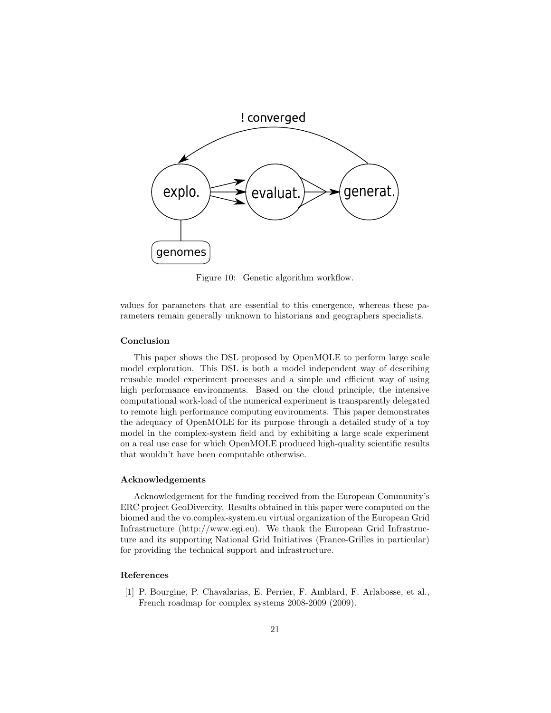

Figure 10: Genetic algorithm workflow.

values for parameters that are essential to this emergence, whereas these parameters remain generally unknown to historians and geographers specialists.

# Conclusion

This paper shows the DSL proposed by OpenMOLE to perform large scale model exploration. This DSL is both a model independent way of describing reusable model experiment processes and a simple and efficient way of using high performance environments. Based on the cloud principle, the intensive computational work-load of the numerical experiment is transparently delegated to remote high performance computing environments. This paper demonstrates the adequacy of OpenMOLE for its purpose through a detailed study of a toy model in the complex-system field and by exhibiting a large scale experiment on a real use case for which OpenMOLE produced high-quality scientific results that wouldn't have been computable otherwise.

## Acknowledgements

Acknowledgement for the funding received from the European Community's ERC project GeoDivercity. Results obtained in this paper were computed on the biomed and the vo.complex-system.eu virtual organization of the European Grid Infrastructure (http://www.egi.eu). We thank the European Grid Infrastructure and its supporting National Grid Initiatives (France-Grilles in particular) for providing the technical support and infrastructure.

### References

[1] P. Bourgine, P. Chavalarias, E. Perrier, F. Amblard, F. Arlabosse, et al., French roadmap for complex systems 2008-2009 (2009).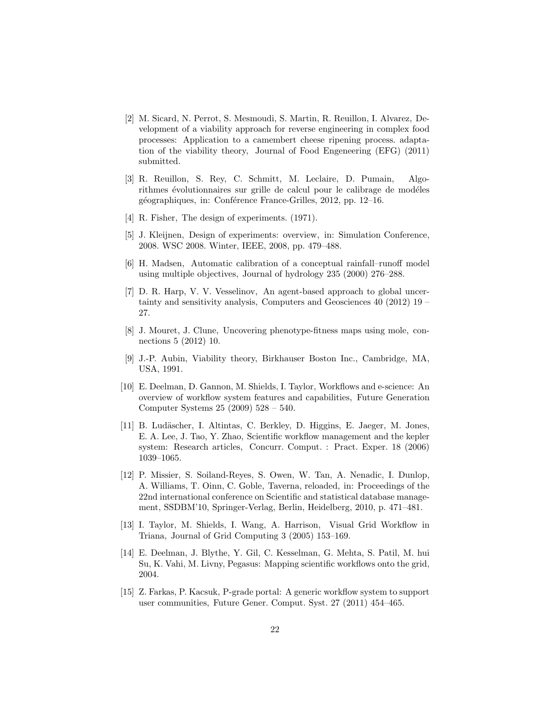- [2] M. Sicard, N. Perrot, S. Mesmoudi, S. Martin, R. Reuillon, I. Alvarez, Development of a viability approach for reverse engineering in complex food processes: Application to a camembert cheese ripening process. adaptation of the viability theory, Journal of Food Engeneering (EFG) (2011) submitted.
- [3] R. Reuillon, S. Rey, C. Schmitt, M. Leclaire, D. Pumain, Algorithmes évolutionnaires sur grille de calcul pour le calibrage de modéles géographiques, in: Conférence France-Grilles, 2012, pp. 12–16.
- [4] R. Fisher, The design of experiments.  $(1971)$ .
- [5] J. Kleijnen, Design of experiments: overview, in: Simulation Conference, 2008. WSC 2008. Winter, IEEE, 2008, pp. 479–488.
- [6] H. Madsen, Automatic calibration of a conceptual rainfall–runoff model using multiple objectives, Journal of hydrology 235 (2000) 276–288.
- [7] D. R. Harp, V. V. Vesselinov, An agent-based approach to global uncertainty and sensitivity analysis, Computers and Geosciences 40 (2012) 19 – 27.
- [8] J. Mouret, J. Clune, Uncovering phenotype-fitness maps using mole, connections 5 (2012) 10.
- [9] J.-P. Aubin, Viability theory, Birkhauser Boston Inc., Cambridge, MA, USA, 1991.
- [10] E. Deelman, D. Gannon, M. Shields, I. Taylor, Workflows and e-science: An overview of workflow system features and capabilities, Future Generation Computer Systems 25 (2009) 528 – 540.
- [11] B. Ludäscher, I. Altintas, C. Berkley, D. Higgins, E. Jaeger, M. Jones, E. A. Lee, J. Tao, Y. Zhao, Scientific workflow management and the kepler system: Research articles, Concurr. Comput. : Pract. Exper. 18 (2006) 1039–1065.
- [12] P. Missier, S. Soiland-Reyes, S. Owen, W. Tan, A. Nenadic, I. Dunlop, A. Williams, T. Oinn, C. Goble, Taverna, reloaded, in: Proceedings of the 22nd international conference on Scientific and statistical database management, SSDBM'10, Springer-Verlag, Berlin, Heidelberg, 2010, p. 471–481.
- [13] I. Taylor, M. Shields, I. Wang, A. Harrison, Visual Grid Workflow in Triana, Journal of Grid Computing 3 (2005) 153–169.
- [14] E. Deelman, J. Blythe, Y. Gil, C. Kesselman, G. Mehta, S. Patil, M. hui Su, K. Vahi, M. Livny, Pegasus: Mapping scientific workflows onto the grid, 2004.
- [15] Z. Farkas, P. Kacsuk, P-grade portal: A generic workflow system to support user communities, Future Gener. Comput. Syst. 27 (2011) 454–465.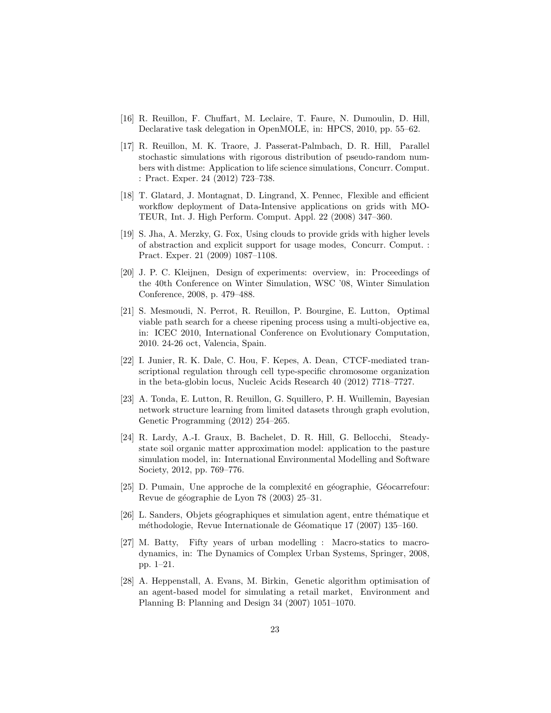- [16] R. Reuillon, F. Chuffart, M. Leclaire, T. Faure, N. Dumoulin, D. Hill, Declarative task delegation in OpenMOLE, in: HPCS, 2010, pp. 55–62.
- [17] R. Reuillon, M. K. Traore, J. Passerat-Palmbach, D. R. Hill, Parallel stochastic simulations with rigorous distribution of pseudo-random numbers with distme: Application to life science simulations, Concurr. Comput. : Pract. Exper. 24 (2012) 723–738.
- [18] T. Glatard, J. Montagnat, D. Lingrand, X. Pennec, Flexible and efficient workflow deployment of Data-Intensive applications on grids with MO-TEUR, Int. J. High Perform. Comput. Appl. 22 (2008) 347–360.
- [19] S. Jha, A. Merzky, G. Fox, Using clouds to provide grids with higher levels of abstraction and explicit support for usage modes, Concurr. Comput. : Pract. Exper. 21 (2009) 1087–1108.
- [20] J. P. C. Kleijnen, Design of experiments: overview, in: Proceedings of the 40th Conference on Winter Simulation, WSC '08, Winter Simulation Conference, 2008, p. 479–488.
- [21] S. Mesmoudi, N. Perrot, R. Reuillon, P. Bourgine, E. Lutton, Optimal viable path search for a cheese ripening process using a multi-objective ea, in: ICEC 2010, International Conference on Evolutionary Computation, 2010. 24-26 oct, Valencia, Spain.
- [22] I. Junier, R. K. Dale, C. Hou, F. Kepes, A. Dean, CTCF-mediated transcriptional regulation through cell type-specific chromosome organization in the beta-globin locus, Nucleic Acids Research 40 (2012) 7718–7727.
- [23] A. Tonda, E. Lutton, R. Reuillon, G. Squillero, P. H. Wuillemin, Bayesian network structure learning from limited datasets through graph evolution, Genetic Programming (2012) 254–265.
- [24] R. Lardy, A.-I. Graux, B. Bachelet, D. R. Hill, G. Bellocchi, Steadystate soil organic matter approximation model: application to the pasture simulation model, in: International Environmental Modelling and Software Society, 2012, pp. 769–776.
- [25] D. Pumain, Une approche de la complexité en géographie, Géocarrefour: Revue de géographie de Lyon 78 (2003) 25–31.
- [26] L. Sanders, Objets géographiques et simulation agent, entre thématique et méthodologie, Revue Internationale de Géomatique 17 (2007) 135–160.
- [27] M. Batty, Fifty years of urban modelling : Macro-statics to macrodynamics, in: The Dynamics of Complex Urban Systems, Springer, 2008, pp. 1–21.
- [28] A. Heppenstall, A. Evans, M. Birkin, Genetic algorithm optimisation of an agent-based model for simulating a retail market, Environment and Planning B: Planning and Design 34 (2007) 1051–1070.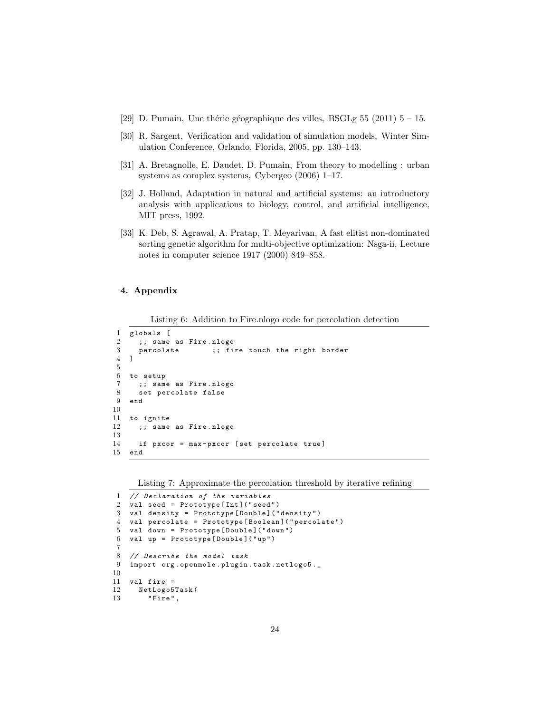- [29] D. Pumain, Une thérie géographique des villes, BSGLg 55 (2011)  $5 15$ .
- [30] R. Sargent, Verification and validation of simulation models, Winter Simulation Conference, Orlando, Florida, 2005, pp. 130–143.
- [31] A. Bretagnolle, E. Daudet, D. Pumain, From theory to modelling : urban systems as complex systems, Cybergeo (2006) 1–17.
- [32] J. Holland, Adaptation in natural and artificial systems: an introductory analysis with applications to biology, control, and artificial intelligence, MIT press, 1992.
- [33] K. Deb, S. Agrawal, A. Pratap, T. Meyarivan, A fast elitist non-dominated sorting genetic algorithm for multi-objective optimization: Nsga-ii, Lecture notes in computer science 1917 (2000) 849–858.

# 4. Appendix

Listing 6: Addition to Fire.nlogo code for percolation detection

```
1 globals [
2 ;; same as Fire . nlogo<br>3 percolate :: fi
      percolate ;; fire touch the right border
4 ]
5
6 to setup
7 ;; same as Fire . nlogo
8 set percolate false
9 end
10
11 to ignite
12 ;; same as Fire . nlogo
13
14 if pxcor = max-pxcor [set percolate true]<br>15 end
   end
```
Listing 7: Approximate the percolation threshold by iterative refining

```
1 // Declaration of the variables<br>2 val seed = Prototype [Int] ("seed
   val seed = Prototype [Int] ("seed")
3 val density = Prototype [ Double ]( " density ")
4 val percolate = Prototype [ Boolean ]( " percolate ")
5 val down = Prototype [ Double ]( " down ")
6 val up = Prototype [ Double ]( " up ")
7
8 // Describe the model task
9 import org . openmole . plugin . task . netlogo5 ._
10
11 val fire =<br>12 NetLogo5
      NetLogo5Task (
13 "Fire",
```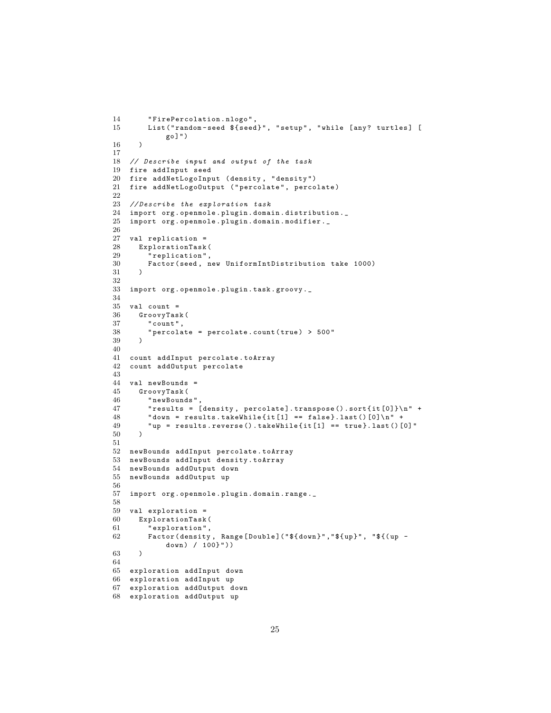```
14 " FirePercolation . nlogo " ,
15 List ("random-seed ${seed}", "setup", "while [any? turtles] [
             go ]")
16 )
17
18 // Describe input and output of the task
19 fire addInput seed
20 fire addNetLogoInput (density, "density")
21 fire addNetLogoOutput ("percolate", percolate)
22
23 // Describe the exploration task
24 import org . openmole . plugin . domain . distribution ._
25 import org . openmole . plugin . domain . modifier . _
\frac{26}{27}27 val replication =<br>28 ExplorationTask
      ExplorationTask (
29 " replication",<br>30 Factor (seed, r
        Factor (seed, new UniformIntDistribution take 1000)
31 )
32
33 import org . openmole . plugin . task . groovy . _
34
35 val count =
36 GroovyTask (<br>37 "count",
         " count ",
38 " percolate = percolate.count (true) > 500"<br>30
39 )
40
41 count addInput percolate . toArray
42 count addOutput percolate
43
44 val newBounds =
45 GroovyTask (
         " newBounds "
47 " results = [ density , percolate ]. transpose () . sort { it [0]}\ n" +
48 "down = results.takeWhite[i] == false}.last() [0] \n' "up = results.reverse().takeWhile{it[1]} == true}.last()" up = results.reverse().takeWhile\{it[1] == true\}.last()[0]"
50 )
51
52 newBounds addInput percolate . toArray
53 newBounds addInput density . toArray
54 newBounds addOutput down
55 newBounds addOutput up
56
57 import org . openmole . plugin . domain . range ._
58
59 val exploration =<br>60 ExplorationTask
60 ExplorationTask (<br>61 "exploration",
         " exploration",
62 Factor (density, Range [Double] ("${down}", "${up}", "${(up -
             down) / 100}"))
63 )
64
65 exploration addInput down
66 exploration addInput up
67 exploration addOutput down
68 exploration addOutput up
```